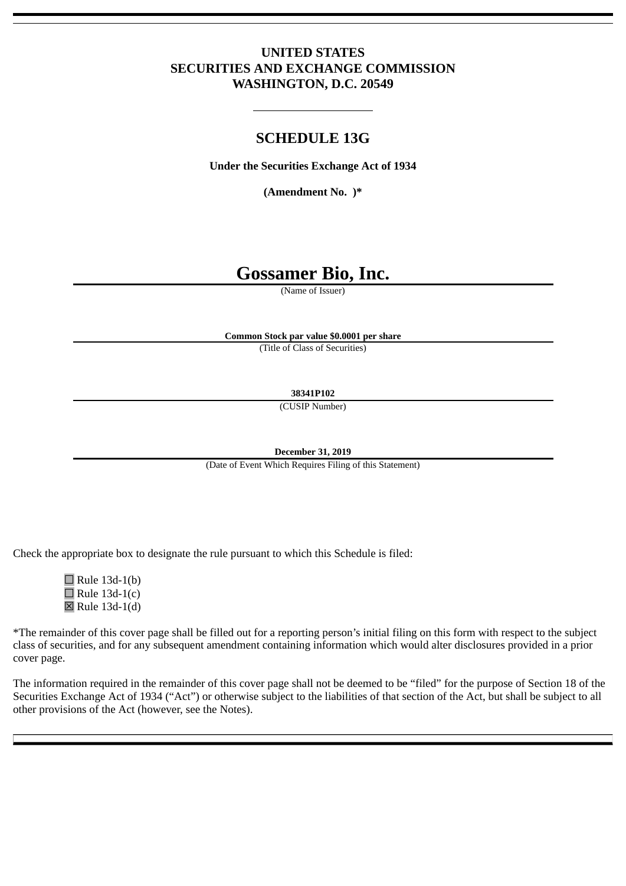# **UNITED STATES SECURITIES AND EXCHANGE COMMISSION WASHINGTON, D.C. 20549**

# **SCHEDULE 13G**

**Under the Securities Exchange Act of 1934**

**(Amendment No. )\***

# **Gossamer Bio, Inc.**

(Name of Issuer)

**Common Stock par value \$0.0001 per share**

(Title of Class of Securities)

**38341P102**

(CUSIP Number)

**December 31, 2019**

(Date of Event Which Requires Filing of this Statement)

Check the appropriate box to designate the rule pursuant to which this Schedule is filed:

 $\Box$  Rule 13d-1(b)  $\Box$  Rule 13d-1(c)  $\boxtimes$  Rule 13d-1(d)

\*The remainder of this cover page shall be filled out for a reporting person's initial filing on this form with respect to the subject class of securities, and for any subsequent amendment containing information which would alter disclosures provided in a prior cover page.

The information required in the remainder of this cover page shall not be deemed to be "filed" for the purpose of Section 18 of the Securities Exchange Act of 1934 ("Act") or otherwise subject to the liabilities of that section of the Act, but shall be subject to all other provisions of the Act (however, see the Notes).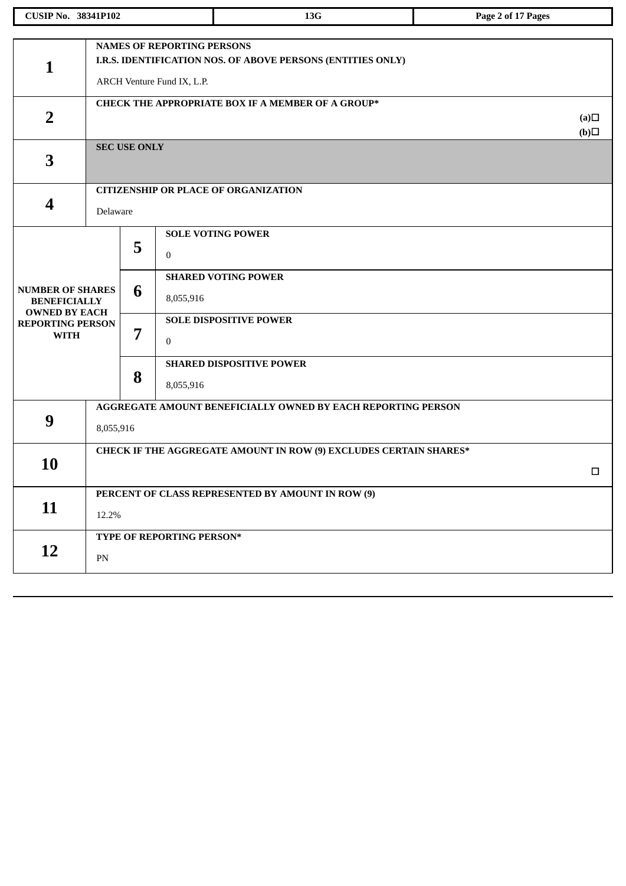|                                                                        | <b>CUSIP No. 38341P102</b>                                                     |                                                                                                                                |                               | 13G                                                          | Page 2 of 17 Pages |  |  |  |
|------------------------------------------------------------------------|--------------------------------------------------------------------------------|--------------------------------------------------------------------------------------------------------------------------------|-------------------------------|--------------------------------------------------------------|--------------------|--|--|--|
|                                                                        |                                                                                |                                                                                                                                |                               |                                                              |                    |  |  |  |
| $\mathbf{1}$                                                           |                                                                                | <b>NAMES OF REPORTING PERSONS</b><br>I.R.S. IDENTIFICATION NOS. OF ABOVE PERSONS (ENTITIES ONLY)<br>ARCH Venture Fund IX, L.P. |                               |                                                              |                    |  |  |  |
| $\overline{2}$                                                         |                                                                                |                                                                                                                                |                               | CHECK THE APPROPRIATE BOX IF A MEMBER OF A GROUP*            | (a)<br>(b)         |  |  |  |
| 3                                                                      |                                                                                | <b>SEC USE ONLY</b>                                                                                                            |                               |                                                              |                    |  |  |  |
|                                                                        |                                                                                |                                                                                                                                |                               | <b>CITIZENSHIP OR PLACE OF ORGANIZATION</b>                  |                    |  |  |  |
| 4                                                                      | Delaware                                                                       |                                                                                                                                |                               |                                                              |                    |  |  |  |
|                                                                        |                                                                                | 5                                                                                                                              | $\mathbf{0}$                  | <b>SOLE VOTING POWER</b>                                     |                    |  |  |  |
| <b>NUMBER OF SHARES</b><br><b>BENEFICIALLY</b><br><b>OWNED BY EACH</b> |                                                                                | 6                                                                                                                              | 8,055,916                     | <b>SHARED VOTING POWER</b>                                   |                    |  |  |  |
| <b>REPORTING PERSON</b><br><b>WITH</b>                                 | 7                                                                              | $\mathbf{0}$                                                                                                                   | <b>SOLE DISPOSITIVE POWER</b> |                                                              |                    |  |  |  |
|                                                                        |                                                                                | 8                                                                                                                              | 8,055,916                     | <b>SHARED DISPOSITIVE POWER</b>                              |                    |  |  |  |
|                                                                        |                                                                                |                                                                                                                                |                               | AGGREGATE AMOUNT BENEFICIALLY OWNED BY EACH REPORTING PERSON |                    |  |  |  |
| 9                                                                      | 8,055,916                                                                      |                                                                                                                                |                               |                                                              |                    |  |  |  |
|                                                                        | <b>CHECK IF THE AGGREGATE AMOUNT IN ROW (9) EXCLUDES CERTAIN SHARES*</b><br>10 |                                                                                                                                |                               |                                                              |                    |  |  |  |
|                                                                        |                                                                                |                                                                                                                                |                               |                                                              |                    |  |  |  |
|                                                                        |                                                                                |                                                                                                                                |                               | PERCENT OF CLASS REPRESENTED BY AMOUNT IN ROW (9)            |                    |  |  |  |
| 11                                                                     | 12.2%                                                                          |                                                                                                                                |                               |                                                              |                    |  |  |  |
|                                                                        |                                                                                |                                                                                                                                | TYPE OF REPORTING PERSON*     |                                                              |                    |  |  |  |
| 12                                                                     | PN                                                                             |                                                                                                                                |                               |                                                              |                    |  |  |  |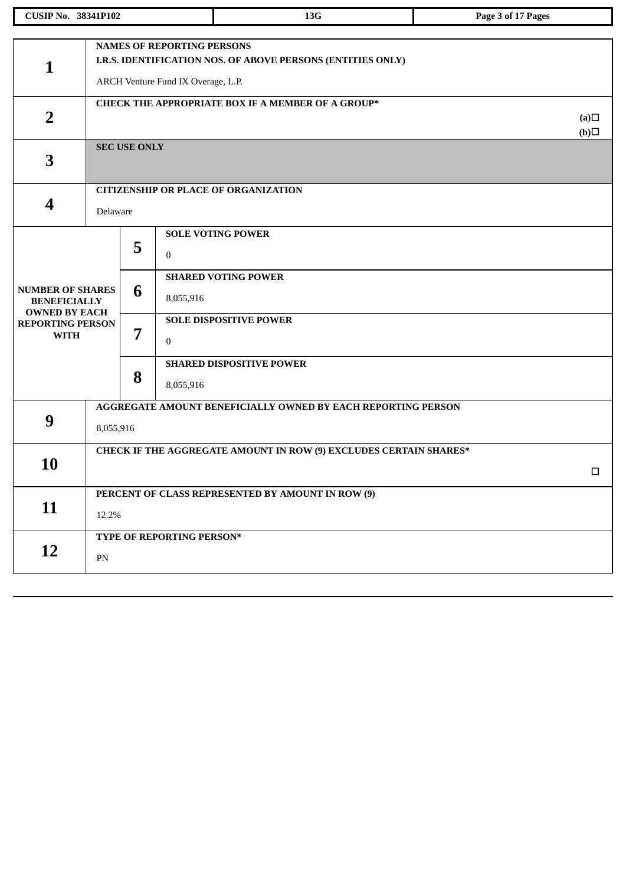| <b>CUSIP No. 38341P102</b>                                             |            |                                                                                                                                        |                           | 13G                                                          | Page 3 of 17 Pages |  |  |  |
|------------------------------------------------------------------------|------------|----------------------------------------------------------------------------------------------------------------------------------------|---------------------------|--------------------------------------------------------------|--------------------|--|--|--|
|                                                                        |            |                                                                                                                                        |                           |                                                              |                    |  |  |  |
| $\mathbf 1$                                                            |            | <b>NAMES OF REPORTING PERSONS</b><br>I.R.S. IDENTIFICATION NOS. OF ABOVE PERSONS (ENTITIES ONLY)<br>ARCH Venture Fund IX Overage, L.P. |                           |                                                              |                    |  |  |  |
| $\overline{2}$                                                         |            | <b>CHECK THE APPROPRIATE BOX IF A MEMBER OF A GROUP*</b><br>(a)<br>(b)                                                                 |                           |                                                              |                    |  |  |  |
| 3                                                                      |            | <b>SEC USE ONLY</b>                                                                                                                    |                           |                                                              |                    |  |  |  |
|                                                                        |            |                                                                                                                                        |                           | <b>CITIZENSHIP OR PLACE OF ORGANIZATION</b>                  |                    |  |  |  |
| 4                                                                      | Delaware   |                                                                                                                                        |                           |                                                              |                    |  |  |  |
|                                                                        |            | 5                                                                                                                                      | $\mathbf{0}$              | <b>SOLE VOTING POWER</b>                                     |                    |  |  |  |
| <b>NUMBER OF SHARES</b><br><b>BENEFICIALLY</b><br><b>OWNED BY EACH</b> |            | 6                                                                                                                                      | 8,055,916                 | <b>SHARED VOTING POWER</b>                                   |                    |  |  |  |
| <b>REPORTING PERSON</b><br><b>WITH</b>                                 | 7          |                                                                                                                                        | $\bf{0}$                  | <b>SOLE DISPOSITIVE POWER</b>                                |                    |  |  |  |
|                                                                        |            | 8                                                                                                                                      | 8,055,916                 | <b>SHARED DISPOSITIVE POWER</b>                              |                    |  |  |  |
|                                                                        |            |                                                                                                                                        |                           | AGGREGATE AMOUNT BENEFICIALLY OWNED BY EACH REPORTING PERSON |                    |  |  |  |
| 9                                                                      | 8,055,916  |                                                                                                                                        |                           |                                                              |                    |  |  |  |
|                                                                        |            | <b>CHECK IF THE AGGREGATE AMOUNT IN ROW (9) EXCLUDES CERTAIN SHARES*</b>                                                               |                           |                                                              |                    |  |  |  |
| <b>10</b>                                                              |            |                                                                                                                                        |                           |                                                              | $\Box$             |  |  |  |
|                                                                        |            |                                                                                                                                        |                           | PERCENT OF CLASS REPRESENTED BY AMOUNT IN ROW (9)            |                    |  |  |  |
| 11                                                                     | 12.2%      |                                                                                                                                        |                           |                                                              |                    |  |  |  |
|                                                                        |            |                                                                                                                                        | TYPE OF REPORTING PERSON* |                                                              |                    |  |  |  |
| 12                                                                     | ${\rm PN}$ |                                                                                                                                        |                           |                                                              |                    |  |  |  |
|                                                                        |            |                                                                                                                                        |                           |                                                              |                    |  |  |  |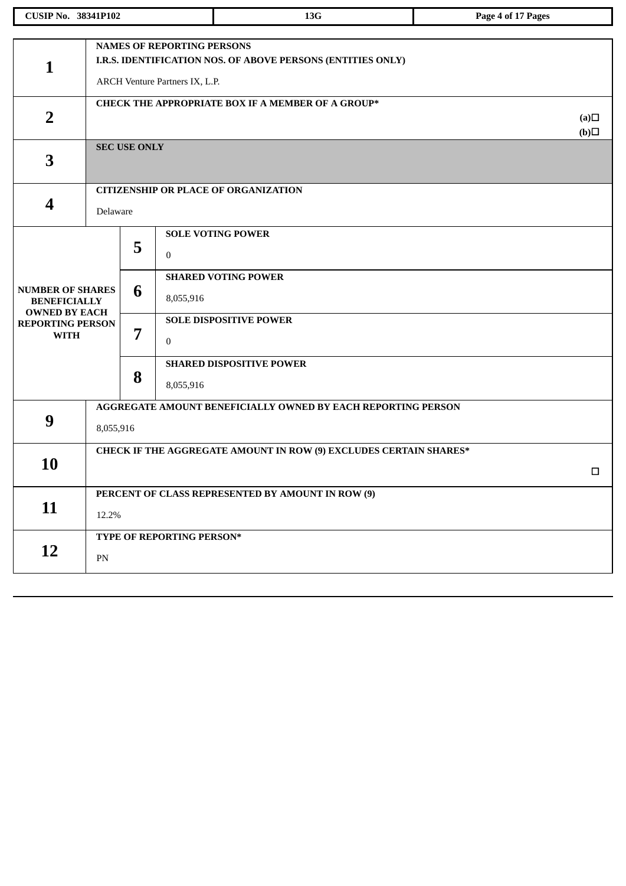|                                                                                | <b>CUSIP No. 38341P102</b>                                   |                     |                                | 13G                                                      | Page 4 of 17 Pages |  |  |  |  |
|--------------------------------------------------------------------------------|--------------------------------------------------------------|---------------------|--------------------------------|----------------------------------------------------------|--------------------|--|--|--|--|
|                                                                                |                                                              |                     |                                |                                                          |                    |  |  |  |  |
|                                                                                | <b>NAMES OF REPORTING PERSONS</b>                            |                     |                                |                                                          |                    |  |  |  |  |
| $\mathbf{1}$                                                                   | I.R.S. IDENTIFICATION NOS. OF ABOVE PERSONS (ENTITIES ONLY)  |                     |                                |                                                          |                    |  |  |  |  |
|                                                                                |                                                              |                     | ARCH Venture Partners IX, L.P. |                                                          |                    |  |  |  |  |
|                                                                                |                                                              |                     |                                | <b>CHECK THE APPROPRIATE BOX IF A MEMBER OF A GROUP*</b> |                    |  |  |  |  |
| $\overline{2}$                                                                 |                                                              |                     |                                |                                                          |                    |  |  |  |  |
|                                                                                |                                                              |                     |                                |                                                          | (b)                |  |  |  |  |
| 3                                                                              |                                                              | <b>SEC USE ONLY</b> |                                |                                                          |                    |  |  |  |  |
|                                                                                |                                                              |                     |                                |                                                          |                    |  |  |  |  |
|                                                                                |                                                              |                     |                                | <b>CITIZENSHIP OR PLACE OF ORGANIZATION</b>              |                    |  |  |  |  |
| 4                                                                              | Delaware                                                     |                     |                                |                                                          |                    |  |  |  |  |
|                                                                                |                                                              |                     |                                | <b>SOLE VOTING POWER</b>                                 |                    |  |  |  |  |
|                                                                                |                                                              | 5                   |                                |                                                          |                    |  |  |  |  |
|                                                                                |                                                              |                     | $\mathbf{0}$                   |                                                          |                    |  |  |  |  |
|                                                                                | 6<br>7                                                       |                     |                                | <b>SHARED VOTING POWER</b>                               |                    |  |  |  |  |
| <b>NUMBER OF SHARES</b><br><b>BENEFICIALLY</b>                                 |                                                              |                     | 8,055,916                      |                                                          |                    |  |  |  |  |
| <b>OWNED BY EACH</b><br><b>REPORTING PERSON</b>                                |                                                              |                     |                                | <b>SOLE DISPOSITIVE POWER</b>                            |                    |  |  |  |  |
| <b>WITH</b>                                                                    |                                                              |                     | $\mathbf{0}$                   |                                                          |                    |  |  |  |  |
|                                                                                |                                                              |                     |                                | <b>SHARED DISPOSITIVE POWER</b>                          |                    |  |  |  |  |
|                                                                                |                                                              | 8                   | 8,055,916                      |                                                          |                    |  |  |  |  |
|                                                                                |                                                              |                     |                                |                                                          |                    |  |  |  |  |
| 9                                                                              | AGGREGATE AMOUNT BENEFICIALLY OWNED BY EACH REPORTING PERSON |                     |                                |                                                          |                    |  |  |  |  |
|                                                                                | 8,055,916                                                    |                     |                                |                                                          |                    |  |  |  |  |
| <b>CHECK IF THE AGGREGATE AMOUNT IN ROW (9) EXCLUDES CERTAIN SHARES*</b><br>10 |                                                              |                     |                                |                                                          |                    |  |  |  |  |
|                                                                                |                                                              |                     |                                |                                                          | □                  |  |  |  |  |
|                                                                                |                                                              |                     |                                | PERCENT OF CLASS REPRESENTED BY AMOUNT IN ROW (9)        |                    |  |  |  |  |
| 11                                                                             | 12.2%                                                        |                     |                                |                                                          |                    |  |  |  |  |
|                                                                                |                                                              |                     | TYPE OF REPORTING PERSON*      |                                                          |                    |  |  |  |  |
| 12                                                                             | ${\rm PN}$                                                   |                     |                                |                                                          |                    |  |  |  |  |
|                                                                                |                                                              |                     |                                |                                                          |                    |  |  |  |  |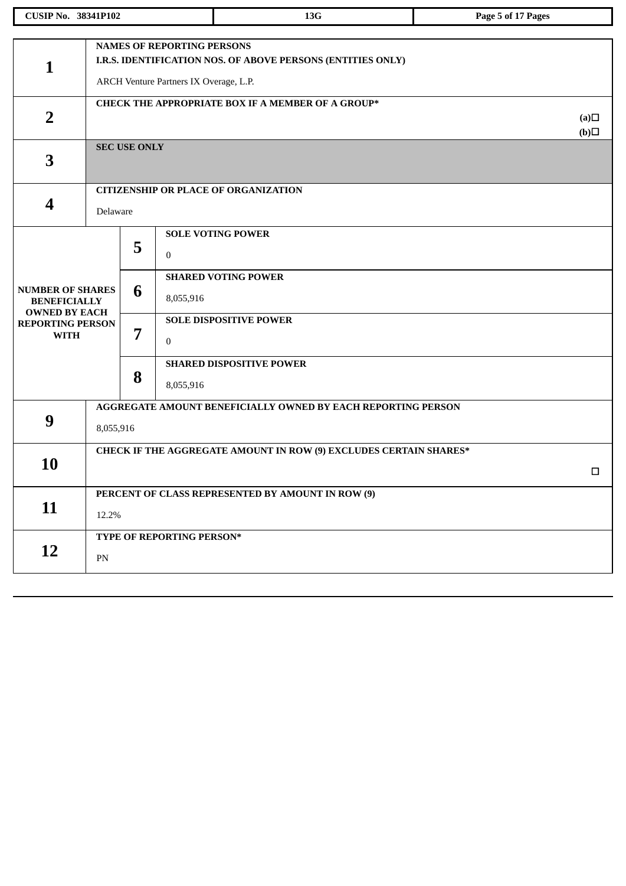| <b>CUSIP No. 38341P102</b>                                                                                       |                                                                           |                                                                                                                                            |                                           | 13G                                                                                                                        | Page 5 of 17 Pages |  |  |
|------------------------------------------------------------------------------------------------------------------|---------------------------------------------------------------------------|--------------------------------------------------------------------------------------------------------------------------------------------|-------------------------------------------|----------------------------------------------------------------------------------------------------------------------------|--------------------|--|--|
| $\mathbf 1$                                                                                                      |                                                                           | <b>NAMES OF REPORTING PERSONS</b><br>I.R.S. IDENTIFICATION NOS. OF ABOVE PERSONS (ENTITIES ONLY)<br>ARCH Venture Partners IX Overage, L.P. |                                           |                                                                                                                            |                    |  |  |
| $\overline{2}$                                                                                                   | CHECK THE APPROPRIATE BOX IF A MEMBER OF A GROUP*<br>(a)<br>(b)           |                                                                                                                                            |                                           |                                                                                                                            |                    |  |  |
| 3                                                                                                                |                                                                           | <b>SEC USE ONLY</b>                                                                                                                        |                                           |                                                                                                                            |                    |  |  |
| 4                                                                                                                |                                                                           | <b>CITIZENSHIP OR PLACE OF ORGANIZATION</b><br>Delaware                                                                                    |                                           |                                                                                                                            |                    |  |  |
| <b>NUMBER OF SHARES</b><br><b>BENEFICIALLY</b><br><b>OWNED BY EACH</b><br><b>REPORTING PERSON</b><br><b>WITH</b> |                                                                           | 5<br>6<br>7                                                                                                                                | $\boldsymbol{0}$<br>8,055,916<br>$\bf{0}$ | <b>SOLE VOTING POWER</b><br><b>SHARED VOTING POWER</b><br><b>SOLE DISPOSITIVE POWER</b><br><b>SHARED DISPOSITIVE POWER</b> |                    |  |  |
|                                                                                                                  |                                                                           | 8                                                                                                                                          | 8,055,916                                 |                                                                                                                            |                    |  |  |
| 9                                                                                                                | AGGREGATE AMOUNT BENEFICIALLY OWNED BY EACH REPORTING PERSON<br>8,055,916 |                                                                                                                                            |                                           |                                                                                                                            |                    |  |  |
| <b>10</b>                                                                                                        | CHECK IF THE AGGREGATE AMOUNT IN ROW (9) EXCLUDES CERTAIN SHARES*<br>□    |                                                                                                                                            |                                           |                                                                                                                            |                    |  |  |
| 11                                                                                                               | PERCENT OF CLASS REPRESENTED BY AMOUNT IN ROW (9)<br>12.2%                |                                                                                                                                            |                                           |                                                                                                                            |                    |  |  |
| 12                                                                                                               | ${\rm PN}$                                                                |                                                                                                                                            | TYPE OF REPORTING PERSON*                 |                                                                                                                            |                    |  |  |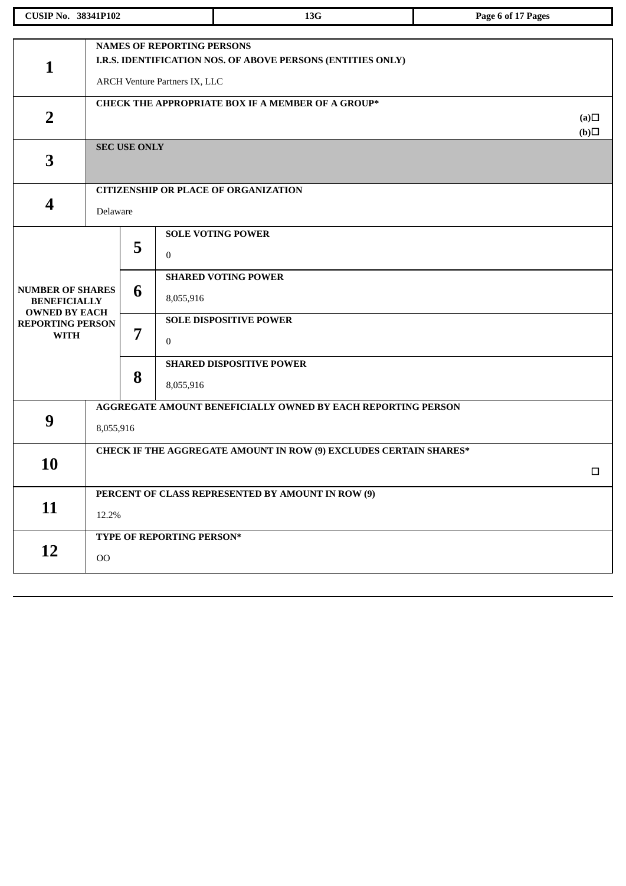| <b>CUSIP No. 38341P102</b>                                             |                                                                 |                                                                                                                                   |                               | 13G                                                          | Page 6 of 17 Pages |  |  |  |
|------------------------------------------------------------------------|-----------------------------------------------------------------|-----------------------------------------------------------------------------------------------------------------------------------|-------------------------------|--------------------------------------------------------------|--------------------|--|--|--|
|                                                                        |                                                                 |                                                                                                                                   |                               |                                                              |                    |  |  |  |
| $\mathbf{1}$                                                           |                                                                 | <b>NAMES OF REPORTING PERSONS</b><br>I.R.S. IDENTIFICATION NOS. OF ABOVE PERSONS (ENTITIES ONLY)<br>ARCH Venture Partners IX, LLC |                               |                                                              |                    |  |  |  |
| $\overline{2}$                                                         | CHECK THE APPROPRIATE BOX IF A MEMBER OF A GROUP*<br>(a)<br>(b) |                                                                                                                                   |                               |                                                              |                    |  |  |  |
| 3                                                                      |                                                                 | <b>SEC USE ONLY</b>                                                                                                               |                               |                                                              |                    |  |  |  |
|                                                                        |                                                                 |                                                                                                                                   |                               | <b>CITIZENSHIP OR PLACE OF ORGANIZATION</b>                  |                    |  |  |  |
| 4                                                                      | Delaware                                                        |                                                                                                                                   |                               |                                                              |                    |  |  |  |
|                                                                        |                                                                 | 5                                                                                                                                 | $\mathbf{0}$                  | <b>SOLE VOTING POWER</b>                                     |                    |  |  |  |
| <b>NUMBER OF SHARES</b><br><b>BENEFICIALLY</b><br><b>OWNED BY EACH</b> |                                                                 | 6                                                                                                                                 | 8,055,916                     | <b>SHARED VOTING POWER</b>                                   |                    |  |  |  |
| <b>REPORTING PERSON</b><br><b>WITH</b>                                 | 7                                                               | $\bf{0}$                                                                                                                          | <b>SOLE DISPOSITIVE POWER</b> |                                                              |                    |  |  |  |
|                                                                        |                                                                 | 8                                                                                                                                 | 8,055,916                     | <b>SHARED DISPOSITIVE POWER</b>                              |                    |  |  |  |
|                                                                        |                                                                 |                                                                                                                                   |                               | AGGREGATE AMOUNT BENEFICIALLY OWNED BY EACH REPORTING PERSON |                    |  |  |  |
| 9                                                                      | 8,055,916                                                       |                                                                                                                                   |                               |                                                              |                    |  |  |  |
|                                                                        |                                                                 | CHECK IF THE AGGREGATE AMOUNT IN ROW (9) EXCLUDES CERTAIN SHARES*                                                                 |                               |                                                              |                    |  |  |  |
|                                                                        | <b>10</b>                                                       |                                                                                                                                   |                               |                                                              |                    |  |  |  |
|                                                                        |                                                                 |                                                                                                                                   |                               | PERCENT OF CLASS REPRESENTED BY AMOUNT IN ROW (9)            |                    |  |  |  |
| 11                                                                     | 12.2%                                                           |                                                                                                                                   |                               |                                                              |                    |  |  |  |
|                                                                        |                                                                 |                                                                                                                                   | TYPE OF REPORTING PERSON*     |                                                              |                    |  |  |  |
| 12                                                                     | O <sub>O</sub>                                                  |                                                                                                                                   |                               |                                                              |                    |  |  |  |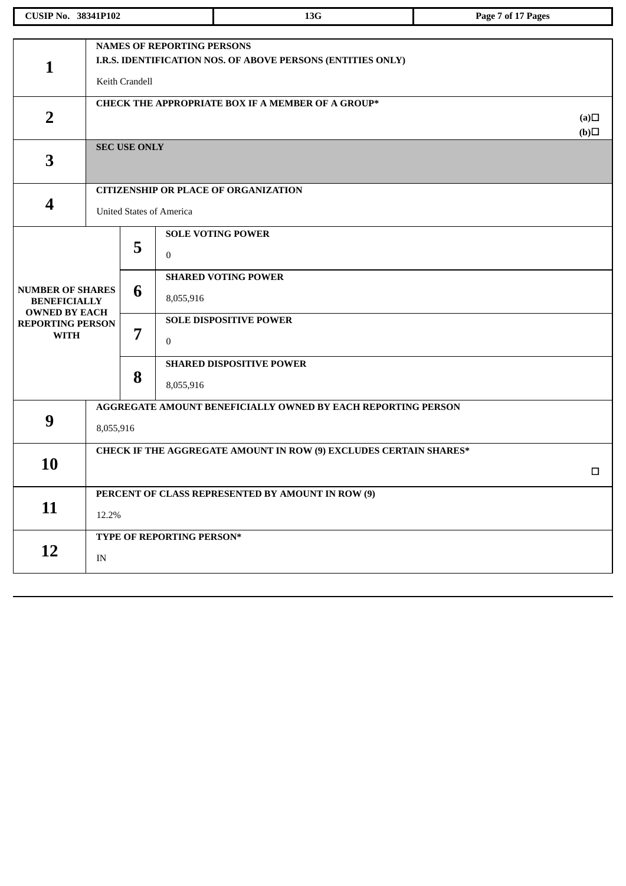| <b>CUSIP No. 38341P102</b>                  |                                                                   |                                                             |                                 | 13G                                                          | Page 7 of 17 Pages |  |  |  |  |
|---------------------------------------------|-------------------------------------------------------------------|-------------------------------------------------------------|---------------------------------|--------------------------------------------------------------|--------------------|--|--|--|--|
|                                             |                                                                   |                                                             |                                 |                                                              |                    |  |  |  |  |
|                                             | <b>NAMES OF REPORTING PERSONS</b>                                 |                                                             |                                 |                                                              |                    |  |  |  |  |
| $\mathbf{1}$                                |                                                                   | I.R.S. IDENTIFICATION NOS. OF ABOVE PERSONS (ENTITIES ONLY) |                                 |                                                              |                    |  |  |  |  |
|                                             |                                                                   | Keith Crandell                                              |                                 |                                                              |                    |  |  |  |  |
|                                             |                                                                   |                                                             |                                 | CHECK THE APPROPRIATE BOX IF A MEMBER OF A GROUP*            |                    |  |  |  |  |
| $\overline{2}$                              |                                                                   |                                                             |                                 |                                                              |                    |  |  |  |  |
|                                             |                                                                   | <b>SEC USE ONLY</b>                                         |                                 |                                                              | $\Box(b)$          |  |  |  |  |
| 3                                           |                                                                   |                                                             |                                 |                                                              |                    |  |  |  |  |
|                                             |                                                                   |                                                             |                                 |                                                              |                    |  |  |  |  |
|                                             |                                                                   |                                                             |                                 | <b>CITIZENSHIP OR PLACE OF ORGANIZATION</b>                  |                    |  |  |  |  |
| $\overline{\mathbf{4}}$                     |                                                                   |                                                             | <b>United States of America</b> |                                                              |                    |  |  |  |  |
|                                             |                                                                   |                                                             |                                 | <b>SOLE VOTING POWER</b>                                     |                    |  |  |  |  |
|                                             |                                                                   | 5                                                           | $\bf{0}$                        |                                                              |                    |  |  |  |  |
|                                             |                                                                   |                                                             |                                 |                                                              |                    |  |  |  |  |
| <b>NUMBER OF SHARES</b>                     |                                                                   |                                                             |                                 | <b>SHARED VOTING POWER</b>                                   |                    |  |  |  |  |
| <b>BENEFICIALLY</b><br><b>OWNED BY EACH</b> | 6                                                                 | 8,055,916                                                   |                                 |                                                              |                    |  |  |  |  |
| <b>REPORTING PERSON</b>                     |                                                                   |                                                             | <b>SOLE DISPOSITIVE POWER</b>   |                                                              |                    |  |  |  |  |
| <b>WITH</b>                                 |                                                                   | 7                                                           | $\boldsymbol{0}$                |                                                              |                    |  |  |  |  |
|                                             |                                                                   |                                                             |                                 | <b>SHARED DISPOSITIVE POWER</b>                              |                    |  |  |  |  |
|                                             |                                                                   | 8                                                           | 8,055,916                       |                                                              |                    |  |  |  |  |
|                                             |                                                                   |                                                             |                                 | AGGREGATE AMOUNT BENEFICIALLY OWNED BY EACH REPORTING PERSON |                    |  |  |  |  |
| 9                                           |                                                                   |                                                             |                                 |                                                              |                    |  |  |  |  |
|                                             |                                                                   | 8,055,916                                                   |                                 |                                                              |                    |  |  |  |  |
|                                             | CHECK IF THE AGGREGATE AMOUNT IN ROW (9) EXCLUDES CERTAIN SHARES* |                                                             |                                 |                                                              |                    |  |  |  |  |
| 10                                          | $\Box$                                                            |                                                             |                                 |                                                              |                    |  |  |  |  |
|                                             |                                                                   |                                                             |                                 | PERCENT OF CLASS REPRESENTED BY AMOUNT IN ROW (9)            |                    |  |  |  |  |
| 11                                          | 12.2%                                                             |                                                             |                                 |                                                              |                    |  |  |  |  |
|                                             |                                                                   |                                                             | TYPE OF REPORTING PERSON*       |                                                              |                    |  |  |  |  |
| 12                                          | IN                                                                |                                                             |                                 |                                                              |                    |  |  |  |  |
|                                             |                                                                   |                                                             |                                 |                                                              |                    |  |  |  |  |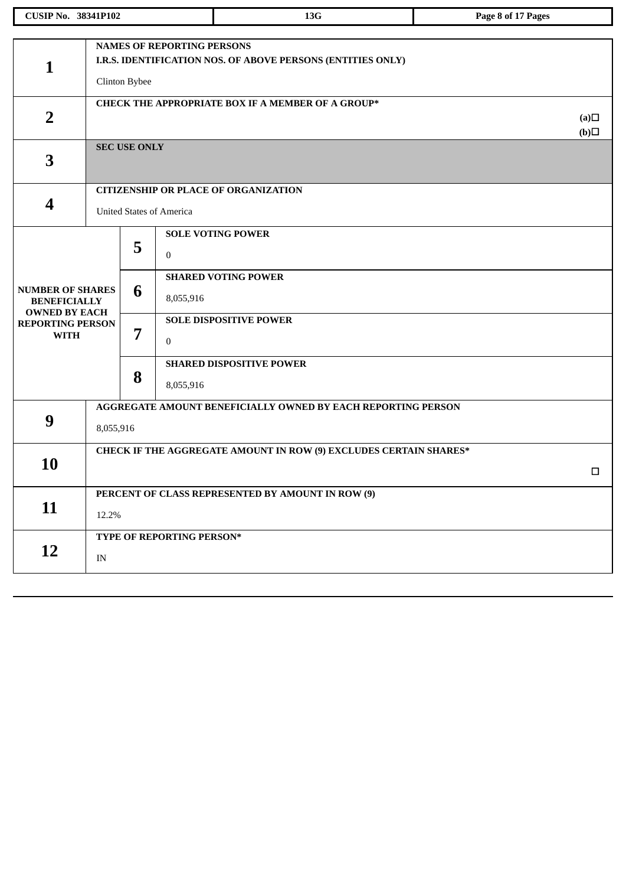| <b>CUSIP No. 38341P102</b>                                              |                                   |                  |                                 | 13G                                                                 | Page 8 of 17 Pages |  |  |  |
|-------------------------------------------------------------------------|-----------------------------------|------------------|---------------------------------|---------------------------------------------------------------------|--------------------|--|--|--|
|                                                                         |                                   |                  |                                 |                                                                     |                    |  |  |  |
|                                                                         | <b>NAMES OF REPORTING PERSONS</b> |                  |                                 |                                                                     |                    |  |  |  |
| $\mathbf{1}$                                                            |                                   |                  |                                 | I.R.S. IDENTIFICATION NOS. OF ABOVE PERSONS (ENTITIES ONLY)         |                    |  |  |  |
|                                                                         |                                   | Clinton Bybee    |                                 |                                                                     |                    |  |  |  |
|                                                                         |                                   |                  |                                 | <b>CHECK THE APPROPRIATE BOX IF A MEMBER OF A GROUP*</b>            |                    |  |  |  |
| $\overline{2}$                                                          |                                   |                  |                                 |                                                                     |                    |  |  |  |
|                                                                         | <b>SEC USE ONLY</b>               |                  |                                 |                                                                     |                    |  |  |  |
| 3                                                                       |                                   |                  |                                 |                                                                     |                    |  |  |  |
|                                                                         |                                   |                  |                                 |                                                                     |                    |  |  |  |
|                                                                         |                                   |                  |                                 | <b>CITIZENSHIP OR PLACE OF ORGANIZATION</b>                         |                    |  |  |  |
| $\overline{\mathbf{4}}$                                                 |                                   |                  | <b>United States of America</b> |                                                                     |                    |  |  |  |
|                                                                         |                                   |                  |                                 | <b>SOLE VOTING POWER</b>                                            |                    |  |  |  |
|                                                                         |                                   | 5                |                                 |                                                                     |                    |  |  |  |
|                                                                         |                                   |                  | $\bf{0}$                        |                                                                     |                    |  |  |  |
|                                                                         |                                   |                  |                                 | <b>SHARED VOTING POWER</b>                                          |                    |  |  |  |
| <b>NUMBER OF SHARES</b><br><b>BENEFICIALLY</b><br><b>OWNED BY EACH</b>  | 6<br>7                            | 8,055,916        |                                 |                                                                     |                    |  |  |  |
| <b>REPORTING PERSON</b>                                                 |                                   |                  | <b>SOLE DISPOSITIVE POWER</b>   |                                                                     |                    |  |  |  |
| <b>WITH</b>                                                             |                                   | $\boldsymbol{0}$ |                                 |                                                                     |                    |  |  |  |
|                                                                         |                                   |                  |                                 | <b>SHARED DISPOSITIVE POWER</b>                                     |                    |  |  |  |
|                                                                         |                                   | 8                | 8,055,916                       |                                                                     |                    |  |  |  |
|                                                                         |                                   |                  |                                 | <b>AGGREGATE AMOUNT BENEFICIALLY OWNED BY EACH REPORTING PERSON</b> |                    |  |  |  |
| 9                                                                       |                                   |                  |                                 |                                                                     |                    |  |  |  |
|                                                                         | 8,055,916                         |                  |                                 |                                                                     |                    |  |  |  |
| CHECK IF THE AGGREGATE AMOUNT IN ROW (9) EXCLUDES CERTAIN SHARES*<br>10 |                                   |                  |                                 |                                                                     |                    |  |  |  |
|                                                                         |                                   |                  |                                 |                                                                     | $\Box$             |  |  |  |
|                                                                         |                                   |                  |                                 | PERCENT OF CLASS REPRESENTED BY AMOUNT IN ROW (9)                   |                    |  |  |  |
| 11                                                                      |                                   | 12.2%            |                                 |                                                                     |                    |  |  |  |
|                                                                         |                                   |                  | TYPE OF REPORTING PERSON*       |                                                                     |                    |  |  |  |
| 12                                                                      | IN                                |                  |                                 |                                                                     |                    |  |  |  |
|                                                                         |                                   |                  |                                 |                                                                     |                    |  |  |  |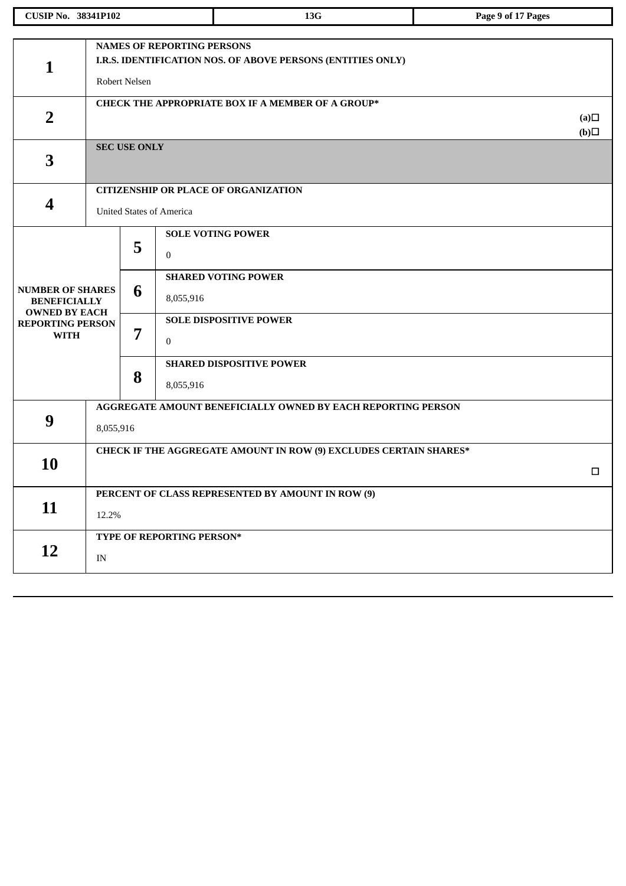| <b>CUSIP No. 38341P102</b>                      |                                                                                                  |                     |                                 | 13G                                                          | Page 9 of 17 Pages |  |  |  |
|-------------------------------------------------|--------------------------------------------------------------------------------------------------|---------------------|---------------------------------|--------------------------------------------------------------|--------------------|--|--|--|
|                                                 |                                                                                                  |                     |                                 |                                                              |                    |  |  |  |
|                                                 | <b>NAMES OF REPORTING PERSONS</b><br>I.R.S. IDENTIFICATION NOS. OF ABOVE PERSONS (ENTITIES ONLY) |                     |                                 |                                                              |                    |  |  |  |
| $\mathbf{1}$                                    |                                                                                                  |                     |                                 |                                                              |                    |  |  |  |
|                                                 |                                                                                                  | Robert Nelsen       |                                 |                                                              |                    |  |  |  |
|                                                 |                                                                                                  |                     |                                 | CHECK THE APPROPRIATE BOX IF A MEMBER OF A GROUP*            | (a)                |  |  |  |
| $\overline{2}$                                  |                                                                                                  |                     |                                 |                                                              |                    |  |  |  |
|                                                 |                                                                                                  | <b>SEC USE ONLY</b> |                                 |                                                              | (b)                |  |  |  |
| 3                                               |                                                                                                  |                     |                                 |                                                              |                    |  |  |  |
|                                                 |                                                                                                  |                     |                                 | <b>CITIZENSHIP OR PLACE OF ORGANIZATION</b>                  |                    |  |  |  |
| $\overline{\mathbf{4}}$                         |                                                                                                  |                     | <b>United States of America</b> |                                                              |                    |  |  |  |
|                                                 |                                                                                                  |                     |                                 | <b>SOLE VOTING POWER</b>                                     |                    |  |  |  |
|                                                 |                                                                                                  | 5                   | $\bf{0}$                        |                                                              |                    |  |  |  |
|                                                 |                                                                                                  |                     |                                 | <b>SHARED VOTING POWER</b>                                   |                    |  |  |  |
| <b>NUMBER OF SHARES</b><br><b>BENEFICIALLY</b>  | 6                                                                                                |                     | 8,055,916                       |                                                              |                    |  |  |  |
| <b>OWNED BY EACH</b><br><b>REPORTING PERSON</b> |                                                                                                  |                     | <b>SOLE DISPOSITIVE POWER</b>   |                                                              |                    |  |  |  |
| <b>WITH</b>                                     |                                                                                                  | 7<br>8              | $\boldsymbol{0}$                |                                                              |                    |  |  |  |
|                                                 |                                                                                                  |                     |                                 | <b>SHARED DISPOSITIVE POWER</b>                              |                    |  |  |  |
|                                                 |                                                                                                  |                     | 8,055,916                       |                                                              |                    |  |  |  |
|                                                 |                                                                                                  |                     |                                 | AGGREGATE AMOUNT BENEFICIALLY OWNED BY EACH REPORTING PERSON |                    |  |  |  |
| 9<br>8,055,916                                  |                                                                                                  |                     |                                 |                                                              |                    |  |  |  |
|                                                 | CHECK IF THE AGGREGATE AMOUNT IN ROW (9) EXCLUDES CERTAIN SHARES*                                |                     |                                 |                                                              |                    |  |  |  |
| 10                                              |                                                                                                  |                     |                                 |                                                              | $\Box$             |  |  |  |
|                                                 |                                                                                                  |                     |                                 | PERCENT OF CLASS REPRESENTED BY AMOUNT IN ROW (9)            |                    |  |  |  |
| 11                                              | 12.2%                                                                                            |                     |                                 |                                                              |                    |  |  |  |
|                                                 |                                                                                                  |                     | TYPE OF REPORTING PERSON*       |                                                              |                    |  |  |  |
| 12                                              | IN                                                                                               |                     |                                 |                                                              |                    |  |  |  |
|                                                 |                                                                                                  |                     |                                 |                                                              |                    |  |  |  |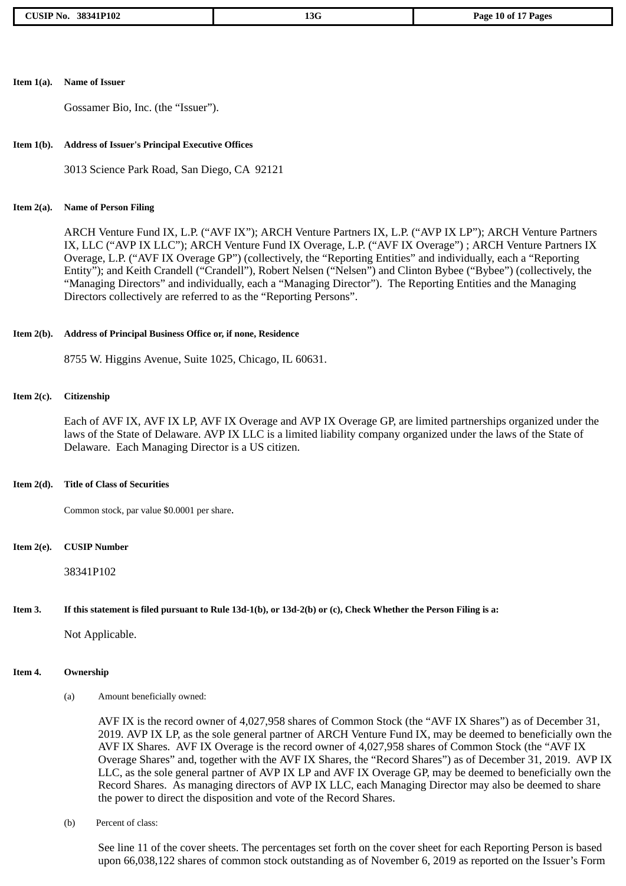### **Item 1(a). Name of Issuer**

Gossamer Bio, Inc. (the "Issuer").

### **Item 1(b). Address of Issuer's Principal Executive Offices**

3013 Science Park Road, San Diego, CA 92121

### **Item 2(a). Name of Person Filing**

ARCH Venture Fund IX, L.P. ("AVF IX"); ARCH Venture Partners IX, L.P. ("AVP IX LP"); ARCH Venture Partners IX, LLC ("AVP IX LLC"); ARCH Venture Fund IX Overage, L.P. ("AVF IX Overage") ; ARCH Venture Partners IX Overage, L.P. ("AVF IX Overage GP") (collectively, the "Reporting Entities" and individually, each a "Reporting Entity"); and Keith Crandell ("Crandell"), Robert Nelsen ("Nelsen") and Clinton Bybee ("Bybee") (collectively, the "Managing Directors" and individually, each a "Managing Director"). The Reporting Entities and the Managing Directors collectively are referred to as the "Reporting Persons".

### **Item 2(b). Address of Principal Business Office or, if none, Residence**

8755 W. Higgins Avenue, Suite 1025, Chicago, IL 60631.

### **Item 2(c). Citizenship**

Each of AVF IX, AVF IX LP, AVF IX Overage and AVP IX Overage GP, are limited partnerships organized under the laws of the State of Delaware. AVP IX LLC is a limited liability company organized under the laws of the State of Delaware. Each Managing Director is a US citizen.

### **Item 2(d). Title of Class of Securities**

Common stock, par value \$0.0001 per share.

**Item 2(e). CUSIP Number**

38341P102

### Item 3. If this statement is filed pursuant to Rule 13d-1(b), or 13d-2(b) or (c), Check Whether the Person Filing is a:

Not Applicable.

### **Item 4. Ownership**

(a) Amount beneficially owned:

AVF IX is the record owner of 4,027,958 shares of Common Stock (the "AVF IX Shares") as of December 31, 2019. AVP IX LP, as the sole general partner of ARCH Venture Fund IX, may be deemed to beneficially own the AVF IX Shares. AVF IX Overage is the record owner of 4,027,958 shares of Common Stock (the "AVF IX Overage Shares" and, together with the AVF IX Shares, the "Record Shares") as of December 31, 2019. AVP IX LLC, as the sole general partner of AVP IX LP and AVF IX Overage GP, may be deemed to beneficially own the Record Shares. As managing directors of AVP IX LLC, each Managing Director may also be deemed to share the power to direct the disposition and vote of the Record Shares.

(b) Percent of class:

See line 11 of the cover sheets. The percentages set forth on the cover sheet for each Reporting Person is based upon 66,038,122 shares of common stock outstanding as of November 6, 2019 as reported on the Issuer's Form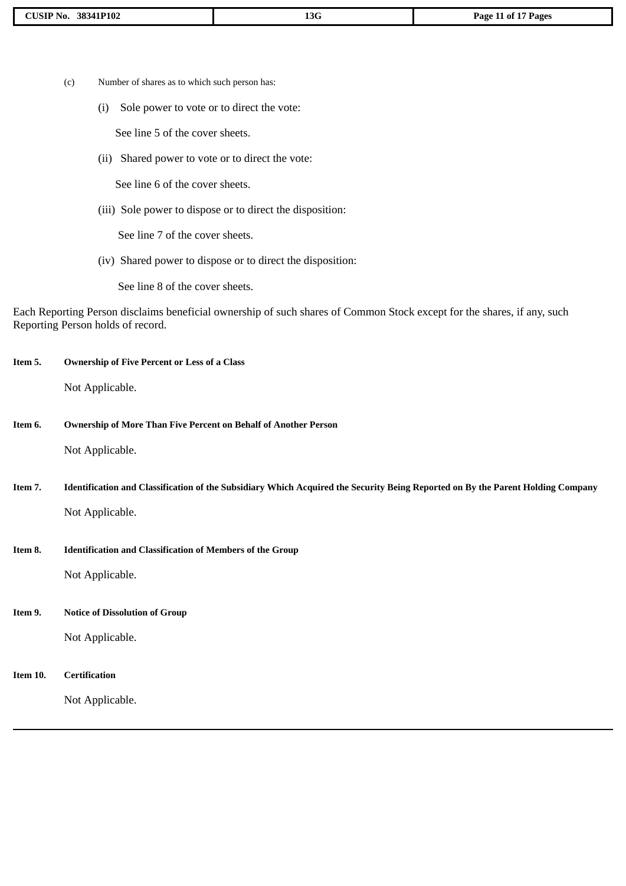- (c) Number of shares as to which such person has:
	- (i) Sole power to vote or to direct the vote:

See line 5 of the cover sheets.

(ii) Shared power to vote or to direct the vote:

See line 6 of the cover sheets.

(iii) Sole power to dispose or to direct the disposition:

See line 7 of the cover sheets.

(iv) Shared power to dispose or to direct the disposition:

See line 8 of the cover sheets.

Each Reporting Person disclaims beneficial ownership of such shares of Common Stock except for the shares, if any, such Reporting Person holds of record.

| Item 5.  | <b>Ownership of Five Percent or Less of a Class</b>                                                                             |
|----------|---------------------------------------------------------------------------------------------------------------------------------|
|          | Not Applicable.                                                                                                                 |
| Item 6.  | <b>Ownership of More Than Five Percent on Behalf of Another Person</b>                                                          |
|          | Not Applicable.                                                                                                                 |
| Item 7.  | Identification and Classification of the Subsidiary Which Acquired the Security Being Reported on By the Parent Holding Company |
|          | Not Applicable.                                                                                                                 |
| Item 8.  | <b>Identification and Classification of Members of the Group</b>                                                                |
|          | Not Applicable.                                                                                                                 |
| Item 9.  | <b>Notice of Dissolution of Group</b>                                                                                           |
|          | Not Applicable.                                                                                                                 |
| Item 10. | <b>Certification</b>                                                                                                            |
|          | Not Applicable.                                                                                                                 |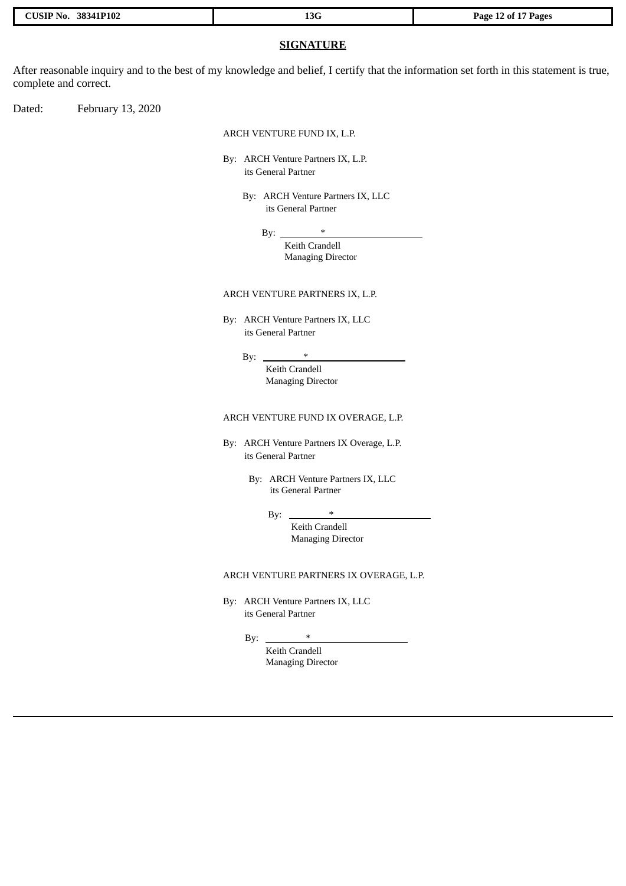|  | CUSIP No. 38341P102 |  |
|--|---------------------|--|
|--|---------------------|--|

### **SIGNATURE**

After reasonable inquiry and to the best of my knowledge and belief, I certify that the information set forth in this statement is true, complete and correct.

Dated: February 13, 2020

ARCH VENTURE FUND IX, L.P.

By: ARCH Venture Partners IX, L.P. its General Partner

> By: ARCH Venture Partners IX, LLC its General Partner

> > By:  $*$

Keith Crandell Managing Director

### ARCH VENTURE PARTNERS IX, L.P.

By: ARCH Venture Partners IX, LLC its General Partner

 $By:$ 

Keith Crandell Managing Director

ARCH VENTURE FUND IX OVERAGE, L.P.

- By: ARCH Venture Partners IX Overage, L.P. its General Partner
	- By: ARCH Venture Partners IX, LLC its General Partner

By:  $*$ Keith Crandell Managing Director

### ARCH VENTURE PARTNERS IX OVERAGE, L.P.

By: ARCH Venture Partners IX, LLC its General Partner

By:  $*$ 

Keith Crandell Managing Director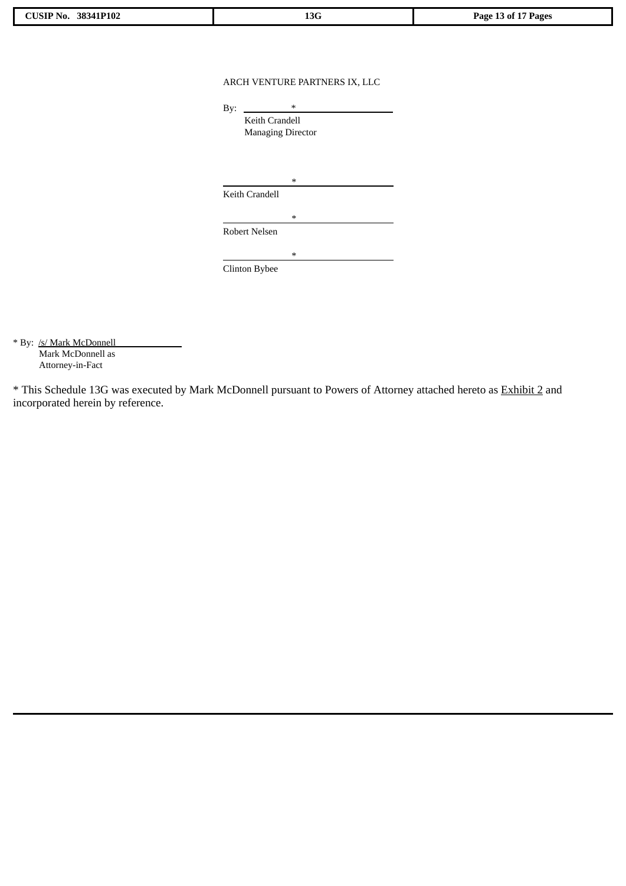| n n<br>1P102<br>▔▔<br>NO.<br>.38.54<br>. ור | <b>13G</b> | . .<br>'ages<br>Page<br>nt.<br>- 0<br>ັ |
|---------------------------------------------|------------|-----------------------------------------|
|                                             |            |                                         |

### ARCH VENTURE PARTNERS IX, LLC

| By: | $\ast$                   |  |  |
|-----|--------------------------|--|--|
|     | <b>Keith Crandell</b>    |  |  |
|     | <b>Managing Director</b> |  |  |
|     |                          |  |  |
|     |                          |  |  |
|     | ∗                        |  |  |
|     | Keith Crandell           |  |  |
|     | ∗                        |  |  |
|     | Robert Nelsen            |  |  |
|     |                          |  |  |
|     | ∗                        |  |  |
|     | <b>Clinton Bybee</b>     |  |  |

\* By: /s/ Mark McDonnell Mark McDonnell as Attorney-in-Fact

\* This Schedule 13G was executed by Mark McDonnell pursuant to Powers of Attorney attached hereto as Exhibit 2 and incorporated herein by reference.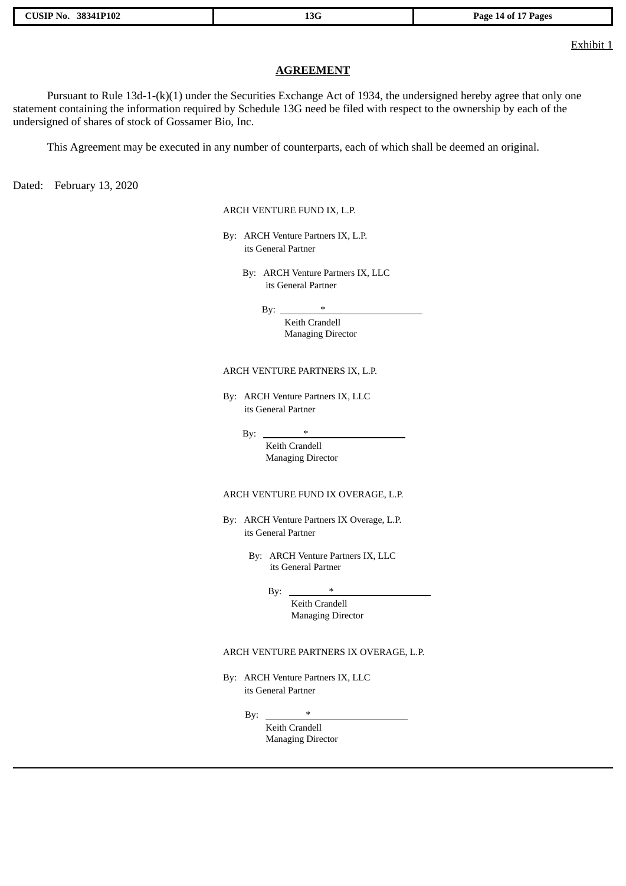|  | <b>CUSIP No. 38341P102</b> |
|--|----------------------------|
|  |                            |

Exhibit 1

### **AGREEMENT**

Pursuant to Rule 13d-1-(k)(1) under the Securities Exchange Act of 1934, the undersigned hereby agree that only one statement containing the information required by Schedule 13G need be filed with respect to the ownership by each of the undersigned of shares of stock of Gossamer Bio, Inc.

This Agreement may be executed in any number of counterparts, each of which shall be deemed an original.

Dated: February 13, 2020

ARCH VENTURE FUND IX, L.P.

By: ARCH Venture Partners IX, L.P. its General Partner

> By: ARCH Venture Partners IX, LLC its General Partner

> > By:  $*$

Keith Crandell Managing Director

### ARCH VENTURE PARTNERS IX, L.P.

By: ARCH Venture Partners IX, LLC its General Partner

By:  $*$ 

Keith Crandell Managing Director

### ARCH VENTURE FUND IX OVERAGE, L.P.

By: ARCH Venture Partners IX Overage, L.P. its General Partner

> By: ARCH Venture Partners IX, LLC its General Partner

> > By:  $*$

Keith Crandell Managing Director

### ARCH VENTURE PARTNERS IX OVERAGE, L.P.

By: ARCH Venture Partners IX, LLC its General Partner

 $Bv:$ 

Keith Crandell Managing Director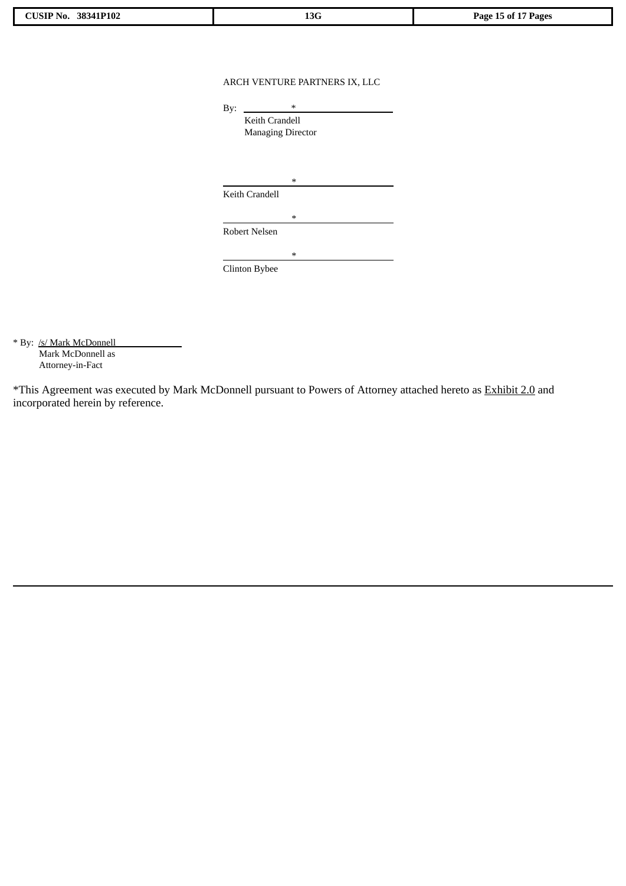| <b>IP102</b><br>$\sim$ $\sim$ $\sim$<br>NO.<br>.58.54<br>. | $\sim$<br>13G | Page<br>Pages<br>ึ ก1<br>.<br>. |
|------------------------------------------------------------|---------------|---------------------------------|
|                                                            |               |                                 |

### ARCH VENTURE PARTNERS IX, LLC

| By: | $\ast$                   |
|-----|--------------------------|
|     | Keith Crandell           |
|     | <b>Managing Director</b> |
|     |                          |
|     |                          |
|     | ∗                        |
|     | Keith Crandell           |
|     | $\ast$                   |
|     | Robert Nelsen            |
|     |                          |
|     | ∗                        |
|     | Clinton Bybee            |

\* By: /s/ Mark McDonnell Mark McDonnell as Attorney-in-Fact

\*This Agreement was executed by Mark McDonnell pursuant to Powers of Attorney attached hereto as Exhibit 2.0 and incorporated herein by reference.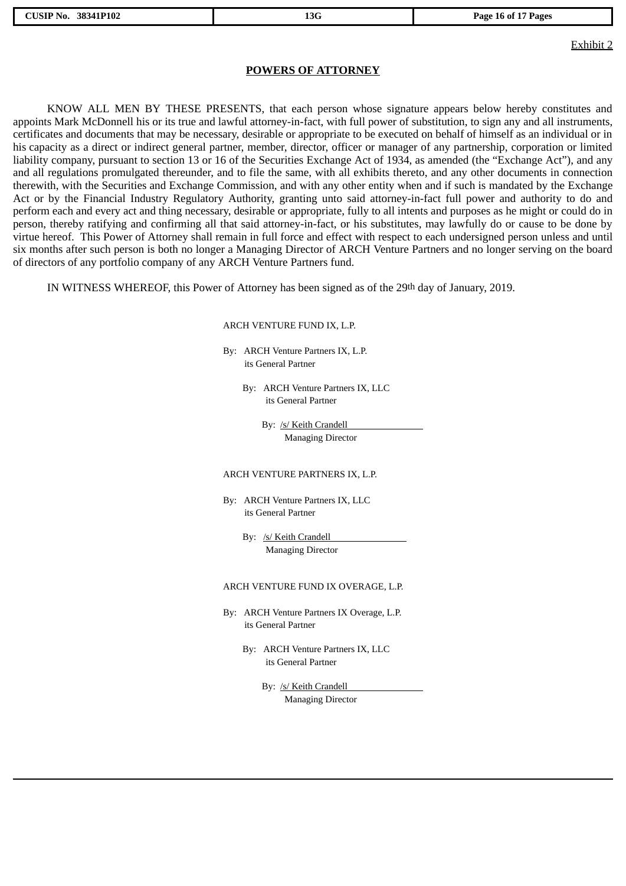Exhibit 2

### **POWERS OF ATTORNEY**

KNOW ALL MEN BY THESE PRESENTS, that each person whose signature appears below hereby constitutes and appoints Mark McDonnell his or its true and lawful attorney-in-fact, with full power of substitution, to sign any and all instruments, certificates and documents that may be necessary, desirable or appropriate to be executed on behalf of himself as an individual or in his capacity as a direct or indirect general partner, member, director, officer or manager of any partnership, corporation or limited liability company, pursuant to section 13 or 16 of the Securities Exchange Act of 1934, as amended (the "Exchange Act"), and any and all regulations promulgated thereunder, and to file the same, with all exhibits thereto, and any other documents in connection therewith, with the Securities and Exchange Commission, and with any other entity when and if such is mandated by the Exchange Act or by the Financial Industry Regulatory Authority, granting unto said attorney-in-fact full power and authority to do and perform each and every act and thing necessary, desirable or appropriate, fully to all intents and purposes as he might or could do in person, thereby ratifying and confirming all that said attorney-in-fact, or his substitutes, may lawfully do or cause to be done by virtue hereof. This Power of Attorney shall remain in full force and effect with respect to each undersigned person unless and until six months after such person is both no longer a Managing Director of ARCH Venture Partners and no longer serving on the board of directors of any portfolio company of any ARCH Venture Partners fund.

IN WITNESS WHEREOF, this Power of Attorney has been signed as of the 29th day of January, 2019.

### ARCH VENTURE FUND IX, L.P.

By: ARCH Venture Partners IX, L.P. its General Partner

> By: ARCH Venture Partners IX, LLC its General Partner

> > By: /s/ Keith Crandell Managing Director

### ARCH VENTURE PARTNERS IX, L.P.

By: ARCH Venture Partners IX, LLC its General Partner

> By: /s/ Keith Crandell Managing Director

### ARCH VENTURE FUND IX OVERAGE, L.P.

- By: ARCH Venture Partners IX Overage, L.P. its General Partner
	- By: ARCH Venture Partners IX, LLC its General Partner

By: /s/ Keith Crandell Managing Director